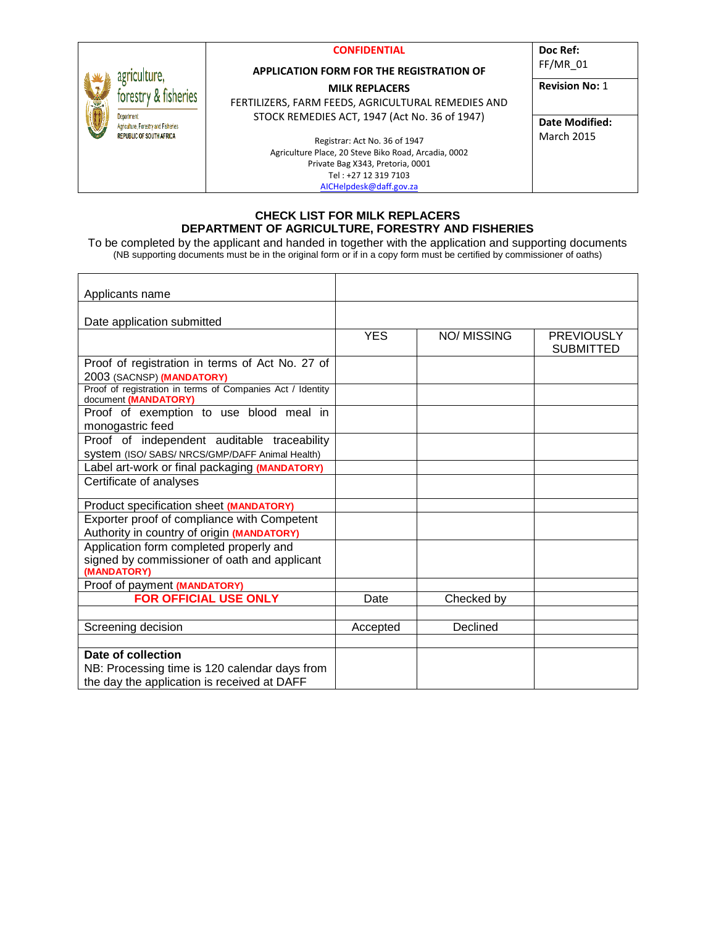|                                                          | <b>CONFIDENTIAL</b>                                  | Doc Ref:              |
|----------------------------------------------------------|------------------------------------------------------|-----------------------|
| agriculture.<br>forestry & fisheries                     | <b>APPLICATION FORM FOR THE REGISTRATION OF</b>      | $FF/MR$ 01            |
|                                                          | <b>MILK REPLACERS</b>                                | <b>Revision No: 1</b> |
|                                                          | FERTILIZERS, FARM FEEDS, AGRICULTURAL REMEDIES AND   |                       |
| <b>Department</b><br>Agriculture, Forestry and Fisheries | STOCK REMEDIES ACT, 1947 (Act No. 36 of 1947)        | Date Modified:        |
| <b>REPUBLIC OF SOUTH AFRICA</b>                          | Registrar: Act No. 36 of 1947                        | <b>March 2015</b>     |
|                                                          | Agriculture Place, 20 Steve Biko Road, Arcadia, 0002 |                       |
|                                                          | Private Bag X343, Pretoria, 0001                     |                       |
|                                                          | Tel: +27 12 319 7103                                 |                       |
|                                                          | AICHelpdesk@daff.gov.za                              |                       |

#### **CHECK LIST FOR MILK REPLACERS DEPARTMENT OF AGRICULTURE, FORESTRY AND FISHERIES**

To be completed by the applicant and handed in together with the application and supporting documents (NB supporting documents must be in the original form or if in a copy form must be certified by commissioner of oaths)

| Applicants name                                                                    |            |             |                   |
|------------------------------------------------------------------------------------|------------|-------------|-------------------|
|                                                                                    |            |             |                   |
| Date application submitted                                                         |            |             |                   |
|                                                                                    | <b>YES</b> | NO/ MISSING | <b>PREVIOUSLY</b> |
|                                                                                    |            |             | <b>SUBMITTED</b>  |
| Proof of registration in terms of Act No. 27 of                                    |            |             |                   |
| 2003 (SACNSP) (MANDATORY)                                                          |            |             |                   |
| Proof of registration in terms of Companies Act / Identity<br>document (MANDATORY) |            |             |                   |
| Proof of exemption to use blood meal in                                            |            |             |                   |
| monogastric feed                                                                   |            |             |                   |
| Proof of independent auditable traceability                                        |            |             |                   |
| System (ISO/ SABS/ NRCS/GMP/DAFF Animal Health)                                    |            |             |                   |
| Label art-work or final packaging (MANDATORY)                                      |            |             |                   |
| Certificate of analyses                                                            |            |             |                   |
| Product specification sheet (MANDATORY)                                            |            |             |                   |
| Exporter proof of compliance with Competent                                        |            |             |                   |
| Authority in country of origin (MANDATORY)                                         |            |             |                   |
| Application form completed properly and                                            |            |             |                   |
| signed by commissioner of oath and applicant<br>(MANDATORY)                        |            |             |                   |
| Proof of payment (MANDATORY)                                                       |            |             |                   |
| <b>FOR OFFICIAL USE ONLY</b>                                                       | Date       | Checked by  |                   |
|                                                                                    |            |             |                   |
| Screening decision                                                                 | Accepted   | Declined    |                   |
|                                                                                    |            |             |                   |
| Date of collection                                                                 |            |             |                   |
| NB: Processing time is 120 calendar days from                                      |            |             |                   |
| the day the application is received at DAFF                                        |            |             |                   |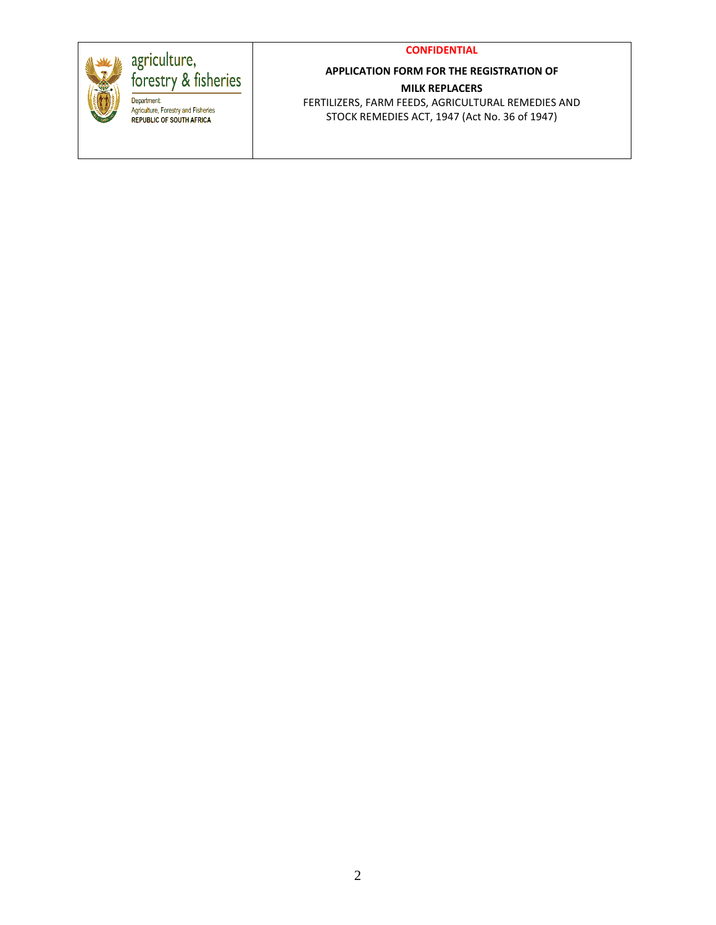#### **CONFIDENTIAL**



## agriculture,<br>forestry & fisheries

Department:<br>
Agriculture, Forestry and Fisheries<br>
REPUBLIC OF SOUTH AFRICA

## **APPLICATION FORM FOR THE REGISTRATION OF MILK REPLACERS**

FERTILIZERS, FARM FEEDS, AGRICULTURAL REMEDIES AND STOCK REMEDIES ACT, 1947 (Act No. 36 of 1947)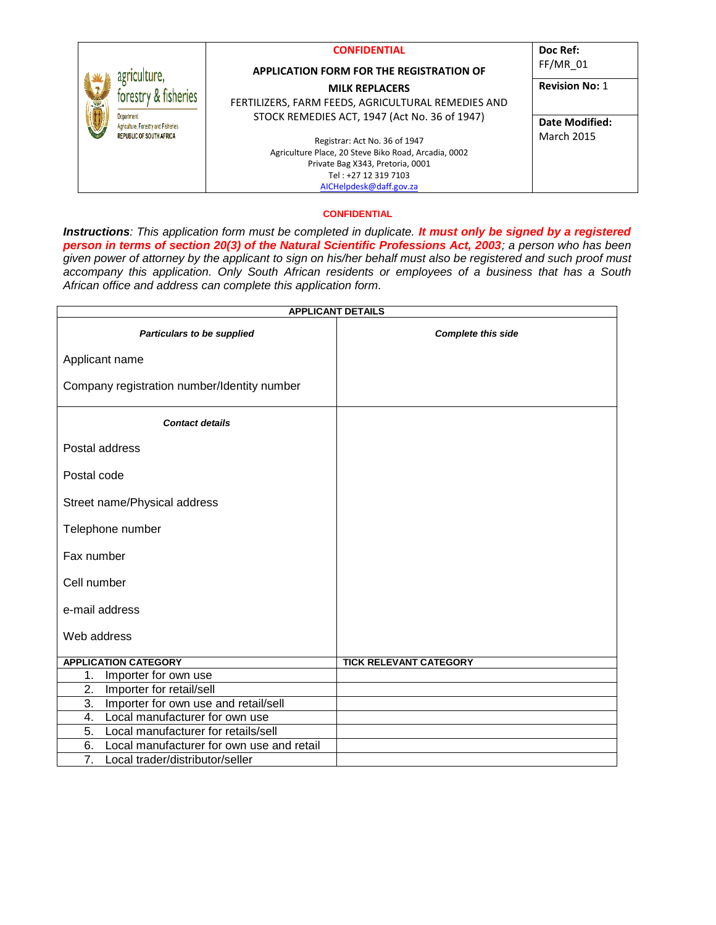| X | agriculture,<br>forestry & fisheries<br><b>Department:</b><br>Agriculture, Forestry and Fisheries<br><b>REPUBLIC OF SOUTH AFRICA</b> | <b>CONFIDENTIAL</b><br><b>APPLICATION FORM FOR THE REGISTRATION OF</b>              | Doc Ref:<br>$FF/MR$ 01              |
|---|--------------------------------------------------------------------------------------------------------------------------------------|-------------------------------------------------------------------------------------|-------------------------------------|
|   |                                                                                                                                      | <b>MILK REPLACERS</b><br>FERTILIZERS, FARM FEEDS, AGRICULTURAL REMEDIES AND         | <b>Revision No: 1</b>               |
|   |                                                                                                                                      | STOCK REMEDIES ACT, 1947 (Act No. 36 of 1947)<br>Registrar: Act No. 36 of 1947      | Date Modified:<br><b>March 2015</b> |
|   |                                                                                                                                      | Agriculture Place, 20 Steve Biko Road, Arcadia, 0002                                |                                     |
|   |                                                                                                                                      | Private Bag X343, Pretoria, 0001<br>Tel: +27 12 319 7103<br>AICHelpdesk@daff.gov.za |                                     |

#### **CONFIDENTIAL**

*Instructions: This application form must be completed in duplicate. It must only be signed by a registered person in terms of section 20(3) of the Natural Scientific Professions Act, 2003; a person who has been given power of attorney by the applicant to sign on his/her behalf must also be registered and such proof must accompany this application. Only South African residents or employees of a business that has a South African office and address can complete this application form.* 

|                                                     | <b>APPLICANT DETAILS</b>      |
|-----------------------------------------------------|-------------------------------|
| Particulars to be supplied                          | <b>Complete this side</b>     |
| Applicant name                                      |                               |
| Company registration number/Identity number         |                               |
| <b>Contact details</b>                              |                               |
| Postal address                                      |                               |
| Postal code                                         |                               |
| Street name/Physical address                        |                               |
| Telephone number                                    |                               |
| Fax number                                          |                               |
| Cell number                                         |                               |
| e-mail address                                      |                               |
| Web address                                         |                               |
| <b>APPLICATION CATEGORY</b>                         | <b>TICK RELEVANT CATEGORY</b> |
| 1.<br>Importer for own use                          |                               |
| Importer for retail/sell<br>2.                      |                               |
| 3.<br>Importer for own use and retail/sell          |                               |
| 4.<br>Local manufacturer for own use                |                               |
| Local manufacturer for retails/sell<br>5.           |                               |
| Local manufacturer for own use and retail<br>6.     |                               |
| $\overline{7}$ .<br>Local trader/distributor/seller |                               |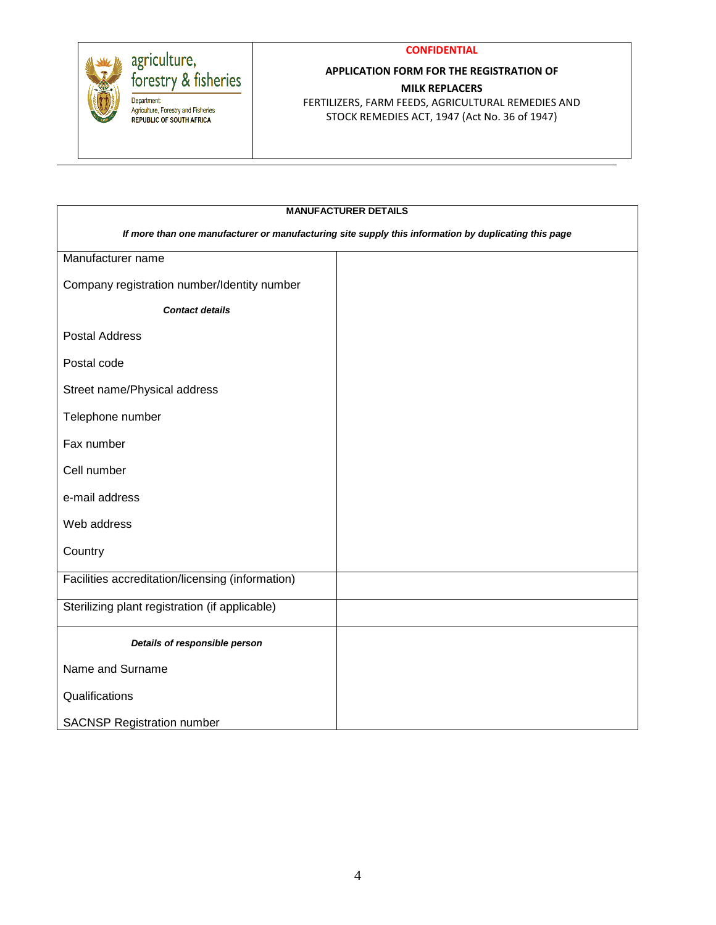



# agriculture,<br>forestry & fisheries

Department:<br>
Agriculture, Forestry and Fisheries<br>
REPUBLIC OF SOUTH AFRICA

## **APPLICATION FORM FOR THE REGISTRATION OF MILK REPLACERS**

FERTILIZERS, FARM FEEDS, AGRICULTURAL REMEDIES AND STOCK REMEDIES ACT, 1947 (Act No. 36 of 1947)

| <b>MANUFACTURER DETAILS</b>                      |                                                                                                      |  |  |  |
|--------------------------------------------------|------------------------------------------------------------------------------------------------------|--|--|--|
|                                                  | If more than one manufacturer or manufacturing site supply this information by duplicating this page |  |  |  |
| Manufacturer name                                |                                                                                                      |  |  |  |
| Company registration number/Identity number      |                                                                                                      |  |  |  |
| <b>Contact details</b>                           |                                                                                                      |  |  |  |
| <b>Postal Address</b>                            |                                                                                                      |  |  |  |
| Postal code                                      |                                                                                                      |  |  |  |
| Street name/Physical address                     |                                                                                                      |  |  |  |
| Telephone number                                 |                                                                                                      |  |  |  |
| Fax number                                       |                                                                                                      |  |  |  |
| Cell number                                      |                                                                                                      |  |  |  |
| e-mail address                                   |                                                                                                      |  |  |  |
| Web address                                      |                                                                                                      |  |  |  |
| Country                                          |                                                                                                      |  |  |  |
| Facilities accreditation/licensing (information) |                                                                                                      |  |  |  |
| Sterilizing plant registration (if applicable)   |                                                                                                      |  |  |  |
| Details of responsible person                    |                                                                                                      |  |  |  |
| Name and Surname                                 |                                                                                                      |  |  |  |
| Qualifications                                   |                                                                                                      |  |  |  |
| <b>SACNSP Registration number</b>                |                                                                                                      |  |  |  |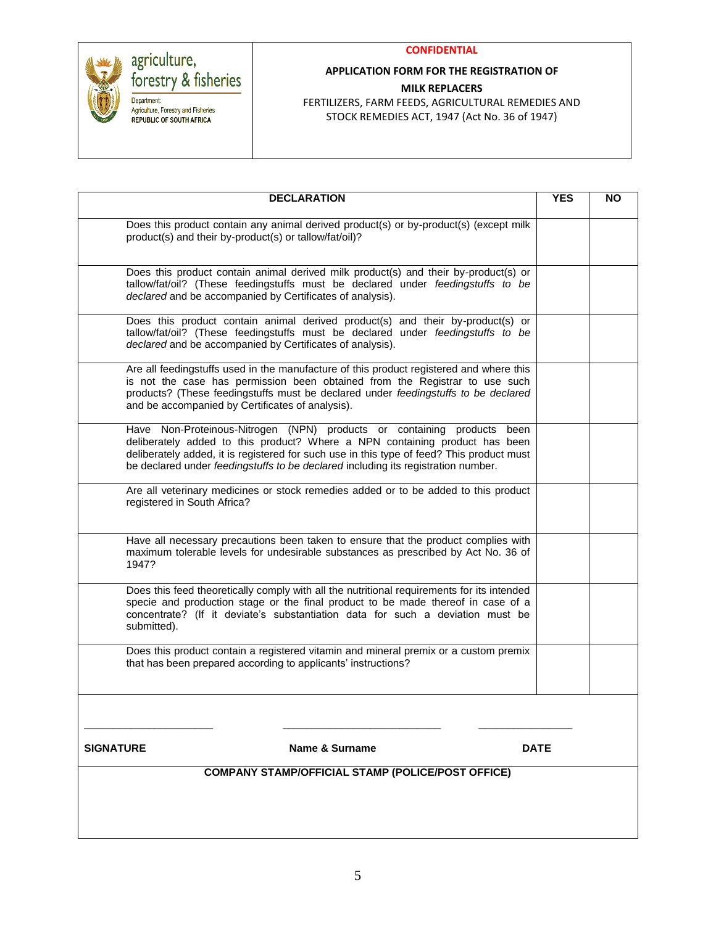

### **APPLICATION FORM FOR THE REGISTRATION OF MILK REPLACERS**

agriculture,<br>forestry & fisheries

Department:<br>
Agriculture, Forestry and Fisheries<br>
REPUBLIC OF SOUTH AFRICA

FERTILIZERS, FARM FEEDS, AGRICULTURAL REMEDIES AND STOCK REMEDIES ACT, 1947 (Act No. 36 of 1947)

| Does this product contain any animal derived product(s) or by-product(s) (except milk<br>product(s) and their by-product(s) or tallow/fat/oil)?                                                                                                                                                                                             |             |  |
|---------------------------------------------------------------------------------------------------------------------------------------------------------------------------------------------------------------------------------------------------------------------------------------------------------------------------------------------|-------------|--|
|                                                                                                                                                                                                                                                                                                                                             |             |  |
| Does this product contain animal derived milk product(s) and their by-product(s) or<br>tallow/fat/oil? (These feedingstuffs must be declared under feedingstuffs to be<br>declared and be accompanied by Certificates of analysis).                                                                                                         |             |  |
| Does this product contain animal derived product(s) and their by-product(s) or<br>tallow/fat/oil? (These feedingstuffs must be declared under feedingstuffs to be<br>declared and be accompanied by Certificates of analysis).                                                                                                              |             |  |
| Are all feedingstuffs used in the manufacture of this product registered and where this<br>is not the case has permission been obtained from the Registrar to use such<br>products? (These feedingstuffs must be declared under feedingstuffs to be declared<br>and be accompanied by Certificates of analysis).                            |             |  |
| Have Non-Proteinous-Nitrogen (NPN) products or containing products<br>been<br>deliberately added to this product? Where a NPN containing product has been<br>deliberately added, it is registered for such use in this type of feed? This product must<br>be declared under feedingstuffs to be declared including its registration number. |             |  |
| Are all veterinary medicines or stock remedies added or to be added to this product<br>registered in South Africa?                                                                                                                                                                                                                          |             |  |
| Have all necessary precautions been taken to ensure that the product complies with<br>maximum tolerable levels for undesirable substances as prescribed by Act No. 36 of<br>1947?                                                                                                                                                           |             |  |
| Does this feed theoretically comply with all the nutritional requirements for its intended<br>specie and production stage or the final product to be made thereof in case of a<br>concentrate? (If it deviate's substantiation data for such a deviation must be<br>submitted).                                                             |             |  |
| Does this product contain a registered vitamin and mineral premix or a custom premix<br>that has been prepared according to applicants' instructions?                                                                                                                                                                                       |             |  |
|                                                                                                                                                                                                                                                                                                                                             |             |  |
| Name & Surname<br><b>SIGNATURE</b>                                                                                                                                                                                                                                                                                                          | <b>DATE</b> |  |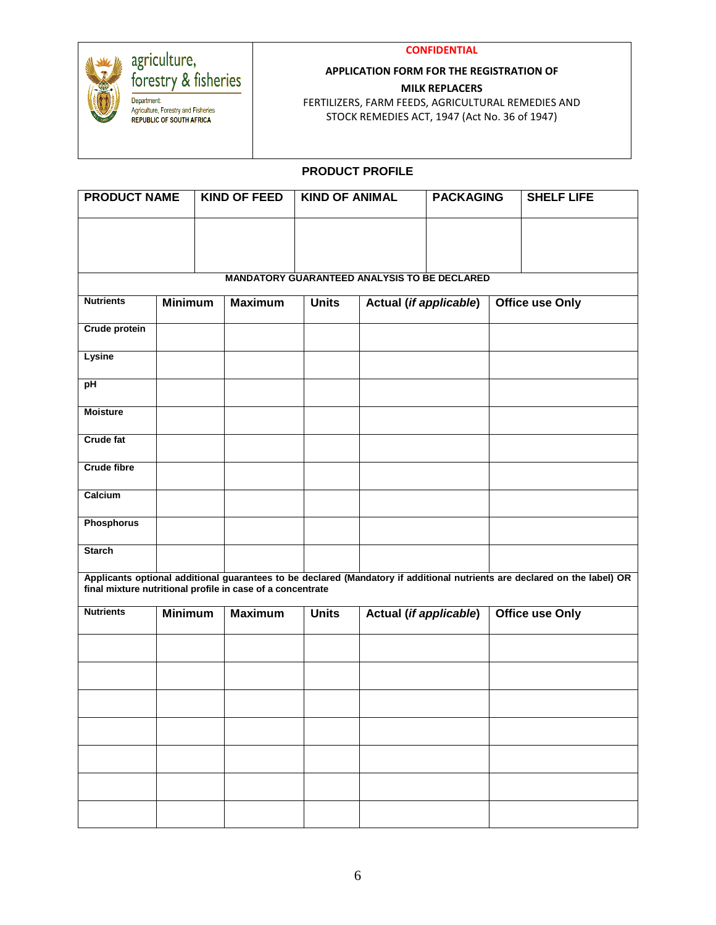

## agriculture,<br>forestry & fisheries

Department Department<br>Agriculture, Forestry and Fisheries<br>REPUBLIC OF SOUTH AFRICA

#### **CONFIDENTIAL**

### **APPLICATION FORM FOR THE REGISTRATION OF MILK REPLACERS**

FERTILIZERS, FARM FEEDS, AGRICULTURAL REMEDIES AND STOCK REMEDIES ACT, 1947 (Act No. 36 of 1947)

### **PRODUCT PROFILE**

| <b>PRODUCT NAME</b>  |                                                                                                      |  | <b>KIND OF FEED</b>                                 | <b>KIND OF ANIMAL</b> |                               | <b>PACKAGING</b> |  | <b>SHELF LIFE</b>                                                                                                                                                                       |
|----------------------|------------------------------------------------------------------------------------------------------|--|-----------------------------------------------------|-----------------------|-------------------------------|------------------|--|-----------------------------------------------------------------------------------------------------------------------------------------------------------------------------------------|
|                      |                                                                                                      |  |                                                     |                       |                               |                  |  |                                                                                                                                                                                         |
|                      |                                                                                                      |  |                                                     |                       |                               |                  |  |                                                                                                                                                                                         |
|                      |                                                                                                      |  | <b>MANDATORY GUARANTEED ANALYSIS TO BE DECLARED</b> |                       |                               |                  |  |                                                                                                                                                                                         |
| <b>Nutrients</b>     | <b>Minimum</b>                                                                                       |  | <b>Maximum</b>                                      | <b>Units</b>          | <b>Actual (if applicable)</b> |                  |  | <b>Office use Only</b>                                                                                                                                                                  |
| <b>Crude protein</b> |                                                                                                      |  |                                                     |                       |                               |                  |  |                                                                                                                                                                                         |
| Lysine               |                                                                                                      |  |                                                     |                       |                               |                  |  |                                                                                                                                                                                         |
| pH                   |                                                                                                      |  |                                                     |                       |                               |                  |  |                                                                                                                                                                                         |
| <b>Moisture</b>      |                                                                                                      |  |                                                     |                       |                               |                  |  |                                                                                                                                                                                         |
| <b>Crude fat</b>     |                                                                                                      |  |                                                     |                       |                               |                  |  |                                                                                                                                                                                         |
| <b>Crude fibre</b>   |                                                                                                      |  |                                                     |                       |                               |                  |  |                                                                                                                                                                                         |
| Calcium              |                                                                                                      |  |                                                     |                       |                               |                  |  |                                                                                                                                                                                         |
| <b>Phosphorus</b>    |                                                                                                      |  |                                                     |                       |                               |                  |  |                                                                                                                                                                                         |
| <b>Starch</b>        |                                                                                                      |  |                                                     |                       |                               |                  |  |                                                                                                                                                                                         |
|                      |                                                                                                      |  |                                                     |                       |                               |                  |  | Applicants optional additional guarantees to be declared (Mandatory if additional nutrients are declared on the label) OR<br>final mixture nutritional profile in case of a concentrate |
| <b>Nutrients</b>     | <b>Actual (if applicable)</b><br><b>Minimum</b><br><b>Maximum</b><br><b>Units</b><br>Office use Only |  |                                                     |                       |                               |                  |  |                                                                                                                                                                                         |
|                      |                                                                                                      |  |                                                     |                       |                               |                  |  |                                                                                                                                                                                         |
|                      |                                                                                                      |  |                                                     |                       |                               |                  |  |                                                                                                                                                                                         |
|                      |                                                                                                      |  |                                                     |                       |                               |                  |  |                                                                                                                                                                                         |
|                      |                                                                                                      |  |                                                     |                       |                               |                  |  |                                                                                                                                                                                         |
|                      |                                                                                                      |  |                                                     |                       |                               |                  |  |                                                                                                                                                                                         |
|                      |                                                                                                      |  |                                                     |                       |                               |                  |  |                                                                                                                                                                                         |
|                      |                                                                                                      |  |                                                     |                       |                               |                  |  |                                                                                                                                                                                         |
|                      |                                                                                                      |  |                                                     |                       |                               |                  |  |                                                                                                                                                                                         |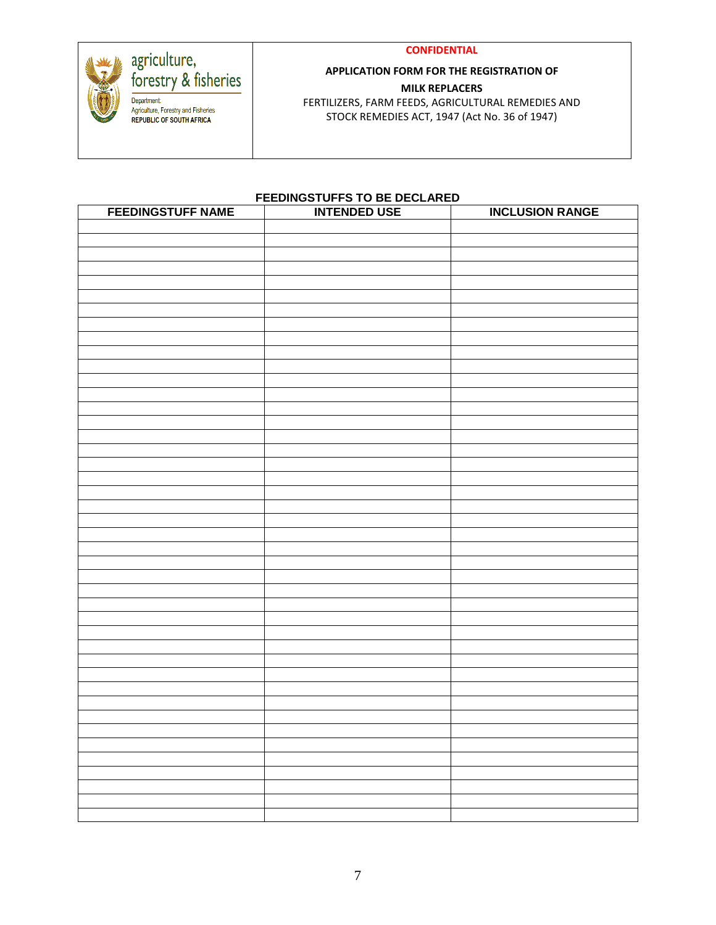#### **CONFIDENTIAL**



# agriculture,<br>forestry & fisheries

Department Department<br>Agriculture, Forestry and Fisheries<br>REPUBLIC OF SOUTH AFRICA

## **APPLICATION FORM FOR THE REGISTRATION OF MILK REPLACERS**

FERTILIZERS, FARM FEEDS, AGRICULTURAL REMEDIES AND STOCK REMEDIES ACT, 1947 (Act No. 36 of 1947)

#### **FEEDINGSTUFFS TO BE DECLARED**

| <b>FEEDINGSTUFF NAME</b> | <b>INTENDED USE</b> | <b>INCLUSION RANGE</b> |
|--------------------------|---------------------|------------------------|
|                          |                     |                        |
|                          |                     |                        |
|                          |                     |                        |
|                          |                     |                        |
|                          |                     |                        |
|                          |                     |                        |
|                          |                     |                        |
|                          |                     |                        |
|                          |                     |                        |
|                          |                     |                        |
|                          |                     |                        |
|                          |                     |                        |
|                          |                     |                        |
|                          |                     |                        |
|                          |                     |                        |
|                          |                     |                        |
|                          |                     |                        |
|                          |                     |                        |
|                          |                     |                        |
|                          |                     |                        |
|                          |                     |                        |
|                          |                     |                        |
|                          |                     |                        |
|                          |                     |                        |
|                          |                     |                        |
|                          |                     |                        |
|                          |                     |                        |
|                          |                     |                        |
|                          |                     |                        |
|                          |                     |                        |
|                          |                     |                        |
|                          |                     |                        |
|                          |                     |                        |
|                          |                     |                        |
|                          |                     |                        |
|                          |                     |                        |
|                          |                     |                        |
|                          |                     |                        |
|                          |                     |                        |
|                          |                     |                        |
|                          |                     |                        |
|                          |                     |                        |
|                          |                     |                        |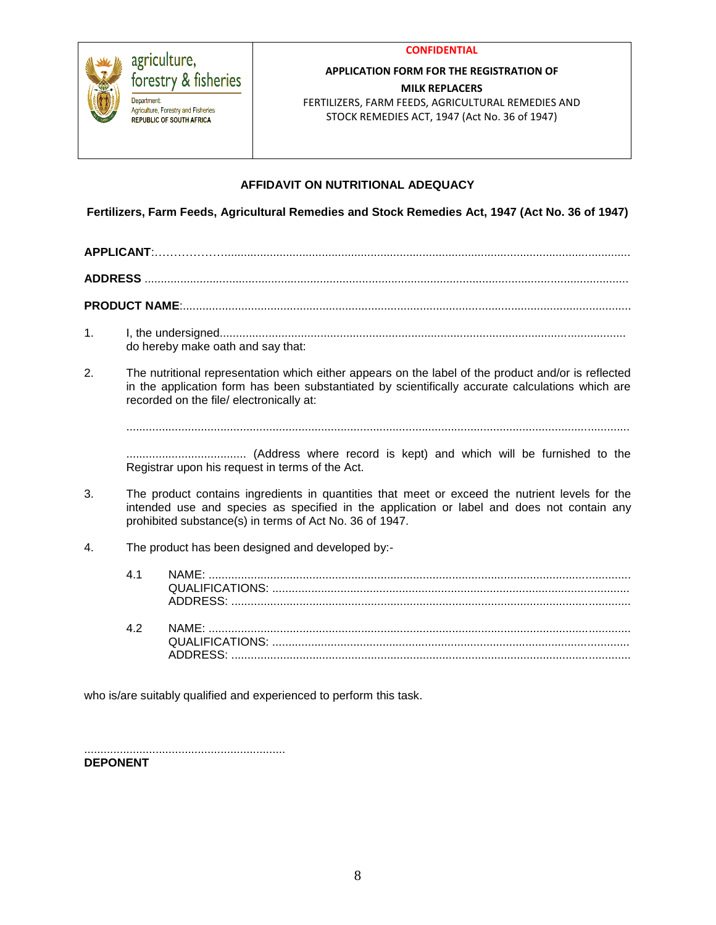

#### agriculture, forestry & fisheries Department **Agriculture.** Forestry and Fisheries **REPUBLIC OF SOUTH AFRICA**

#### **APPLICATION FORM FOR THE REGISTRATION OF MILK REPLACERS**

FERTILIZERS, FARM FEEDS, AGRICULTURAL REMEDIES AND STOCK REMEDIES ACT, 1947 (Act No. 36 of 1947)

## **AFFIDAVIT ON NUTRITIONAL ADEQUACY**

**Fertilizers, Farm Feeds, Agricultural Remedies and Stock Remedies Act, 1947 (Act No. 36 of 1947)**

**APPLICANT**:……………….............................................................................................................................

**ADDRESS** .....................................................................................................................................................

**PRODUCT NAME**:..........................................................................................................................................

- 1. I, the undersigned............................................................................................................................. do hereby make oath and say that:
- 2. The nutritional representation which either appears on the label of the product and/or is reflected in the application form has been substantiated by scientifically accurate calculations which are recorded on the file/ electronically at:

...........................................................................................................................................................

..................................... (Address where record is kept) and which will be furnished to the Registrar upon his request in terms of the Act.

- 3. The product contains ingredients in quantities that meet or exceed the nutrient levels for the intended use and species as specified in the application or label and does not contain any prohibited substance(s) in terms of Act No. 36 of 1947.
- 4. The product has been designed and developed by:-

| 41 |  |
|----|--|
| 42 |  |

who is/are suitably qualified and experienced to perform this task.

.............................................................. **DEPONENT**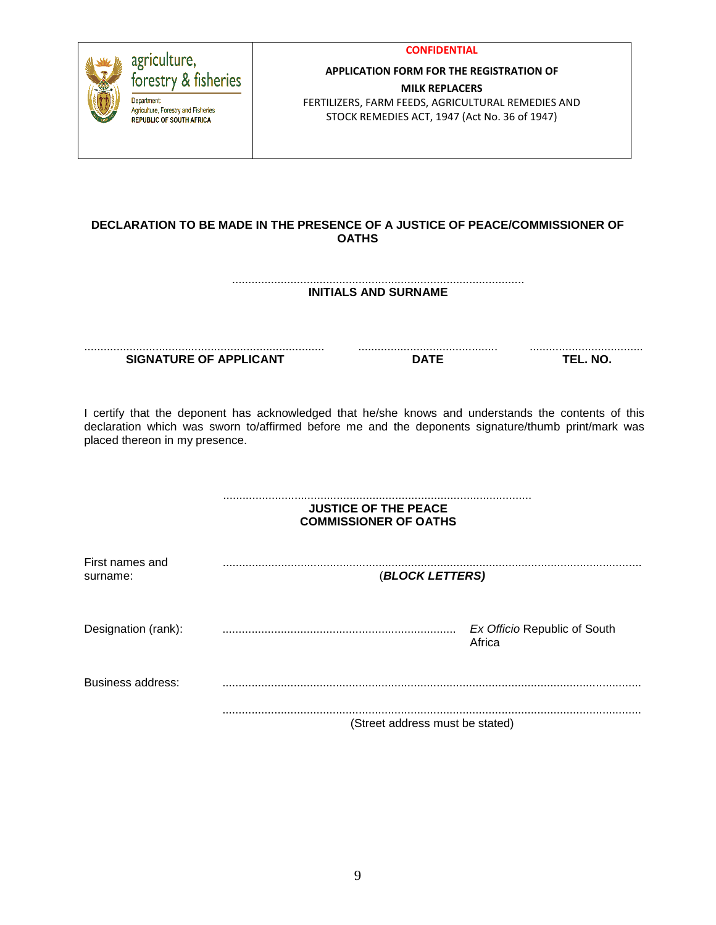| agriculture,<br>forestry & fisheries<br>Department<br>Agriculture, Forestry and Fisheries<br><b>REPUBLIC OF SOUTH AFRICA</b> |                               | <b>CONFIDENTIAL</b><br><b>APPLICATION FORM FOR THE REGISTRATION OF</b><br><b>MILK REPLACERS</b><br>FERTILIZERS, FARM FEEDS, AGRICULTURAL REMEDIES AND<br>STOCK REMEDIES ACT, 1947 (Act No. 36 of 1947)    |                              |
|------------------------------------------------------------------------------------------------------------------------------|-------------------------------|-----------------------------------------------------------------------------------------------------------------------------------------------------------------------------------------------------------|------------------------------|
|                                                                                                                              |                               | DECLARATION TO BE MADE IN THE PRESENCE OF A JUSTICE OF PEACE/COMMISSIONER OF<br><b>OATHS</b>                                                                                                              |                              |
|                                                                                                                              |                               | <b>INITIALS AND SURNAME</b>                                                                                                                                                                               |                              |
|                                                                                                                              |                               |                                                                                                                                                                                                           | .<br>TEL. NO.                |
|                                                                                                                              | <b>SIGNATURE OF APPLICANT</b> | <b>DATE</b>                                                                                                                                                                                               |                              |
| placed thereon in my presence.                                                                                               |                               | I certify that the deponent has acknowledged that he/she knows and understands the contents of this<br>declaration which was sworn to/affirmed before me and the deponents signature/thumb print/mark was |                              |
|                                                                                                                              |                               | <b>JUSTICE OF THE PEACE</b><br><b>COMMISSIONER OF OATHS</b>                                                                                                                                               |                              |
| First names and<br>surname:                                                                                                  |                               | (BLOCK LETTERS)                                                                                                                                                                                           |                              |
| Designation (rank):                                                                                                          |                               | Africa                                                                                                                                                                                                    | Ex Officio Republic of South |
| <b>Business address:</b>                                                                                                     |                               |                                                                                                                                                                                                           |                              |